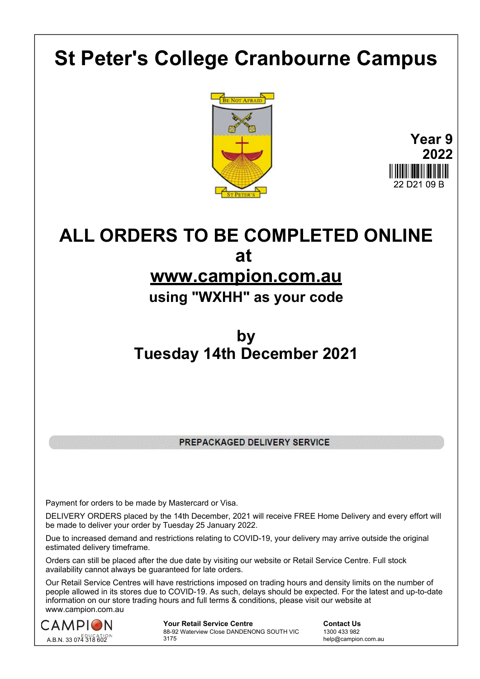## **St Peter's College Cranbourne Campus**





# **ALL ORDERS TO BE COMPLETED ONLINE at**

## **www.campion.com.au**

### **using "WXHH" as your code**

## **by Tuesday 14th December 2021**

PREPACKAGED DELIVERY SERVICE

Payment for orders to be made by Mastercard or Visa.

DELIVERY ORDERS placed by the 14th December, 2021 will receive FREE Home Delivery and every effort will be made to deliver your order by Tuesday 25 January 2022.

Due to increased demand and restrictions relating to COVID-19, your delivery may arrive outside the original estimated delivery timeframe.

Orders can still be placed after the due date by visiting our website or Retail Service Centre. Full stock availability cannot always be guaranteed for late orders.

Our Retail Service Centres will have restrictions imposed on trading hours and density limits on the number of people allowed in its stores due to COVID-19. As such, delays should be expected. For the latest and up-to-date information on our store trading hours and full terms & conditions, please visit our website at www.campion.com.au



**Your Retail Service Centre Contact Us** 88-92 Waterview Close DANDENONG SOUTH VIC 3175

1300 433 982 help@campion.com.au